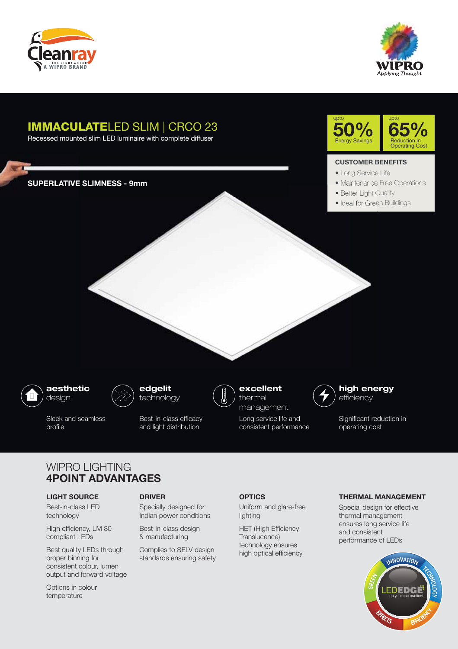



# IMMACULATELED SLIM | CRCO 23

Recessed mounted slim LED luminaire with complete diffuser

**SUPERLATIVE SLIMNESS - 9mm**



#### **CUSTOMER BENEFITS**

- Long Service Life
- Maintenance Free Operations
- Better Light Quality
- Ideal for Green Buildings



**Card Co** 

Sleek and seamless profile



Best-in-class efficacy and light distribution



**excellent**  thermal

Long service life and consistent performance



Significant reduction in operating cost

## WIPRO LIGHTING **4POINT ADVANTAGES**

#### **LIGHT SOURCE**

Best-in-class LED technology

High efficiency, LM 80 compliant LEDs

Best quality LEDs through proper binning for consistent colour, lumen output and forward voltage

Options in colour temperature

#### **DRIVER OPTICS**

Specially designed for Indian power conditions

Best-in-class design & manufacturing

Complies to SELV design standards ensuring safety

Uniform and glare-free lighting

HET (High Efficiency Translucence) technology ensures high optical efficiency

#### **THERMAL MANAGEMENT**

Special design for effective thermal management ensures long service life and consistent performance of LEDs